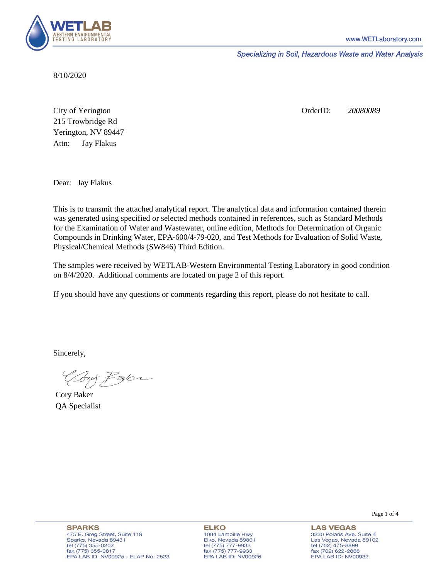

Specializing in Soil, Hazardous Waste and Water Analysis

8/10/2020

Attn: City of Yerington 215 Trowbridge Rd Jay Flakus Yerington, NV 89447 OrderID: *20080089*

Dear: Jay Flakus

This is to transmit the attached analytical report. The analytical data and information contained therein was generated using specified or selected methods contained in references, such as Standard Methods for the Examination of Water and Wastewater, online edition, Methods for Determination of Organic Compounds in Drinking Water, EPA-600/4-79-020, and Test Methods for Evaluation of Solid Waste, Physical/Chemical Methods (SW846) Third Edition.

The samples were received by WETLAB-Western Environmental Testing Laboratory in good condition on 8/4/2020. Additional comments are located on page 2 of this report.

If you should have any questions or comments regarding this report, please do not hesitate to call.

Sincerely,

Coy Palor

Cory Baker QA Specialist

Page 1 of 4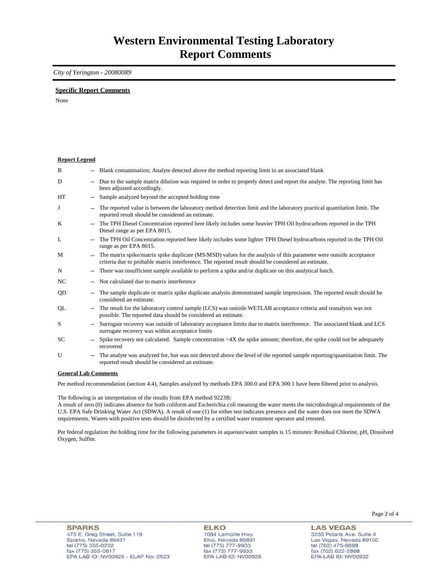### *City of Yerington - 20080089*

### **Specific Report Comments**

None

| <b>Report Legend</b> |                          |                                                                                                                                                                                                                           |
|----------------------|--------------------------|---------------------------------------------------------------------------------------------------------------------------------------------------------------------------------------------------------------------------|
| B                    |                          | -- Blank contamination; Analyte detected above the method reporting limit in an associated blank                                                                                                                          |
| D                    | $- -$                    | Due to the sample matrix dilution was required in order to properly detect and report the analyte. The reporting limit has<br>been adjusted accordingly.                                                                  |
| HT                   |                          | Sample analyzed beyond the accepted holding time                                                                                                                                                                          |
| J                    |                          | The reported value is between the laboratory method detection limit and the laboratory practical quantitation limit. The<br>reported result should be considered an estimate.                                             |
| K                    | $\overline{\phantom{a}}$ | The TPH Diesel Concentration reported here likely includes some heavier TPH Oil hydrocarbons reported in the TPH<br>Diesel range as per EPA 8015.                                                                         |
| L                    |                          | The TPH Oil Concentration reported here likely includes some lighter TPH Diesel hydrocarbons reported in the TPH Oil<br>range as per EPA 8015.                                                                            |
| M                    |                          | The matrix spike/matrix spike duplicate (MS/MSD) values for the analysis of this parameter were outside acceptance<br>criteria due to probable matrix interference. The reported result should be considered an estimate. |
| N                    | $\overline{\phantom{a}}$ | There was insufficient sample available to perform a spike and/or duplicate on this analytical batch.                                                                                                                     |
| NC                   |                          | Not calculated due to matrix interference                                                                                                                                                                                 |
| QD                   | $\overline{\phantom{a}}$ | The sample duplicate or matrix spike duplicate analysis demonstrated sample imprecision. The reported result should be<br>considered an estimate.                                                                         |
| QL                   |                          | The result for the laboratory control sample (LCS) was outside WETLAB acceptance criteria and reanalysis was not<br>possible. The reported data should be considered an estimate.                                         |
| S                    |                          | Surrogate recovery was outside of laboratory acceptance limits due to matrix interference. The associated blank and LCS<br>surrogate recovery was within acceptance limits                                                |
| SC                   |                          | Spike recovery not calculated. Sample concentration $>4X$ the spike amount; therefore, the spike could not be adequately<br>recovered                                                                                     |
| U                    |                          | The analyte was analyzed for, but was not detected above the level of the reported sample reporting/quantitation limit. The<br>reported result should be considered an estimate.                                          |
| $\sim$               |                          | $\mathbf{1}$ $\mathbf{1}$ $\alpha$                                                                                                                                                                                        |

#### **General Lab Comments**

Per method recommendation (section 4.4), Samples analyzed by methods EPA 300.0 and EPA 300.1 have been filtered prior to analysis.

The following is an interpretation of the results from EPA method 9223B:

A result of zero (0) indicates absence for both coliform and Escherichia coli meaning the water meets the microbiological requirements of the U.S. EPA Safe Drinking Water Act (SDWA). A result of one (1) for either test indicates presence and the water does not meet the SDWA requirements. Waters with positive tests should be disinfected by a certified water treatment operator and retested.

Per federal regulation the holding time for the following parameters in aqueous/water samples is 15 minutes: Residual Chlorine, pH, Dissolved Oxygen, Sulfite.

**ELKO** 1084 Lamoille Hwy Elko, Nevada 89801 tel (775) 777-9933<br>fax (775) 777-9933 EPA LAB ID: NV00926 Page 2 of 4

**LAS VEGAS** 3230 Polaris Ave. Suite 4 Las Vegas, Nevada 89102 tel (702) 475-8899<br>fax (702) 622-2868 EPA LAB ID: NV00932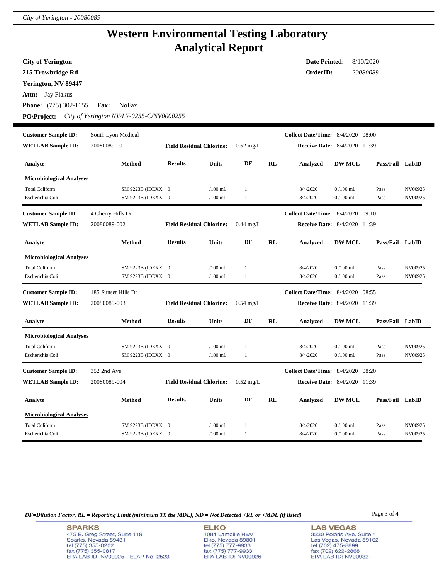# **Western Environmental Testing Laboratory Analytical Report**

**City of Yerington**

**215 Trowbridge Rd**

**Yerington, NV 89447**

**Attn:** Jay Flakus

**Phone:** (775) 302-1155 **Fax:** NoFax

**PO\Project:** *City of Yerington NV/LY-0255-C/NV0000255*

| <b>Customer Sample ID:</b>      | South Lyon Medical  |                                 |                                 |                     |    | <b>Collect Date/Time:</b> 8/4/2020 08:00 |               |                 |         |
|---------------------------------|---------------------|---------------------------------|---------------------------------|---------------------|----|------------------------------------------|---------------|-----------------|---------|
| <b>WETLAB Sample ID:</b>        | 20080089-001        | <b>Field Residual Chlorine:</b> |                                 | $0.52 \text{ mg/L}$ |    | Receive Date: 8/4/2020 11:39             |               |                 |         |
| Analyte                         | <b>Method</b>       | <b>Results</b>                  | <b>Units</b>                    | DF                  | RL | Analyzed                                 | <b>DW MCL</b> | Pass/Fail LabID |         |
| <b>Microbiological Analyses</b> |                     |                                 |                                 |                     |    |                                          |               |                 |         |
| <b>Total Coliform</b>           | SM 9223B (IDEXX 0   |                                 | $/100$ mL                       | 1                   |    | 8/4/2020                                 | $0/100$ mL    | Pass            | NV00925 |
| Escherichia Coli                | SM 9223B (IDEXX 0   |                                 | $/100$ mL                       | 1                   |    | 8/4/2020                                 | $0/100$ mL    | Pass            | NV00925 |
| <b>Customer Sample ID:</b>      | 4 Cherry Hills Dr   |                                 |                                 |                     |    | Collect Date/Time: 8/4/2020              |               | 09:10           |         |
| <b>WETLAB Sample ID:</b>        | 20080089-002        |                                 | <b>Field Residual Chlorine:</b> | $0.44 \text{ mg/L}$ |    | Receive Date: 8/4/2020 11:39             |               |                 |         |
| Analyte                         | <b>Method</b>       | <b>Results</b>                  | <b>Units</b>                    | DF                  | RL | Analyzed                                 | <b>DW MCL</b> | Pass/Fail LabID |         |
| <b>Microbiological Analyses</b> |                     |                                 |                                 |                     |    |                                          |               |                 |         |
| <b>Total Coliform</b>           | SM 9223B (IDEXX 0   |                                 | $/100$ mL                       | 1                   |    | 8/4/2020                                 | $0/100$ mL    | Pass            | NV00925 |
| Escherichia Coli                | SM 9223B (IDEXX 0   |                                 | $/100$ mL                       | 1                   |    | 8/4/2020                                 | $0/100$ mL    | Pass            | NV00925 |
|                                 |                     |                                 |                                 |                     |    |                                          |               |                 |         |
| <b>Customer Sample ID:</b>      | 185 Sunset Hills Dr |                                 |                                 |                     |    | <b>Collect Date/Time:</b> 8/4/2020       |               | 08:55           |         |
| <b>WETLAB Sample ID:</b>        | 20080089-003        |                                 | <b>Field Residual Chlorine:</b> | $0.54$ mg/L         |    | <b>Receive Date:</b> 8/4/2020 11:39      |               |                 |         |
| Analyte                         | <b>Method</b>       | <b>Results</b>                  | <b>Units</b>                    | DF                  | RL | Analyzed                                 | <b>DW MCL</b> | Pass/Fail LabID |         |
| <b>Microbiological Analyses</b> |                     |                                 |                                 |                     |    |                                          |               |                 |         |
| <b>Total Coliform</b>           | SM 9223B (IDEXX 0   |                                 | $/100$ mL                       | 1                   |    | 8/4/2020                                 | $0/100$ mL    | Pass            | NV00925 |
| Escherichia Coli                | SM 9223B (IDEXX 0   |                                 | $/100$ mL                       | $\mathbf{1}$        |    | 8/4/2020                                 | $0/100$ mL    | Pass            | NV00925 |
| <b>Customer Sample ID:</b>      | 352 2nd Ave         |                                 |                                 |                     |    | <b>Collect Date/Time:</b> 8/4/2020       |               | 08:20           |         |
| <b>WETLAB Sample ID:</b>        | 20080089-004        |                                 | <b>Field Residual Chlorine:</b> | $0.52 \text{ mg/L}$ |    | <b>Receive Date:</b> 8/4/2020 11:39      |               |                 |         |
| Analyte                         | <b>Method</b>       | <b>Results</b>                  | <b>Units</b>                    | DF                  | RL | Analyzed                                 | <b>DW MCL</b> | Pass/Fail LabID |         |
| <b>Microbiological Analyses</b> |                     |                                 |                                 |                     |    |                                          |               |                 |         |
| <b>Total Coliform</b>           | SM 9223B (IDEXX 0   |                                 | $/100$ mL                       | 1                   |    | 8/4/2020                                 | $0/100$ mL    | Pass            | NV00925 |

*DF=Dilution Factor, RL = Reporting Limit (minimum 3X the MDL), ND = Not Detected <RL or <MDL (if listed)* Page 3 of 4

**ELKO** 1084 Lamoille Hwy Elko, Nevada 89801<br>tel (775) 777-9933<br>fax (775) 777-9933 EPA LAB ID: NV00926 **LAS VEGAS** 3230 Polaris Ave. Suite 4 Las Vegas, Nevada 89102 tel (702) 475-8899<br>fax (702) 622-2868 EPA LAB ID: NV00932

**Date Printed:** 8/10/2020 **OrderID:** *20080089*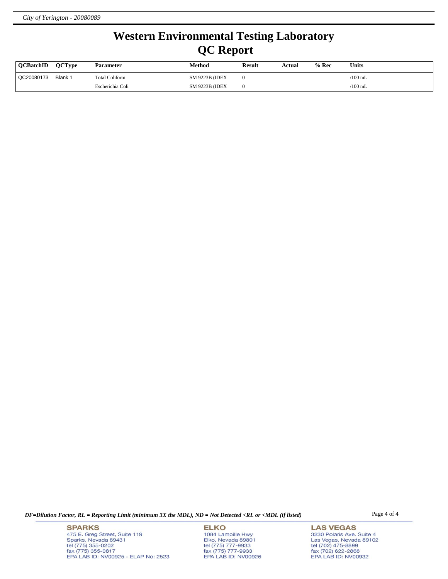# **Western Environmental Testing Laboratory QC Report**

| <b>OCBatchID</b> | <b>OCTvpe</b> | <b>Parameter</b> | Method                 | <b>Result</b> | Actual | $%$ Rec | <b>Units</b>    |
|------------------|---------------|------------------|------------------------|---------------|--------|---------|-----------------|
| QC20080173       | Blank 1       | Total Coliform   | <b>SM 9223B (IDEX)</b> |               |        |         | $\sqrt{100}$ mL |
|                  |               | Escherichia Coli | <b>SM 9223B (IDEX)</b> |               |        |         | $\sqrt{100}$ mL |

*DF=Dilution Factor, RL = Reporting Limit (minimum 3X the MDL), ND = Not Detected <RL or <MDL (if listed)* Page 4 of 4

**SPARKS** 475 E. Greg Street, Suite 119 Sparks, Nevada 89431<br>tel (775) 355-0202<br>fax (775) 355-0817 EPA LAB ID: NV00925 - ELAP No: 2523

**ELKO** 1084 Lamoille Hwy Elko, Nevada 89801<br>tel (775) 777-9933<br>fax (775) 777-9933 EPA LAB ID: NV00926

**LAS VEGAS** 3230 Polaris Ave. Suite 4 Las Vegas, Nevada 89102<br>tel (702) 475-8899<br>fax (702) 622-2868<br>EPA LAB ID: NV00932